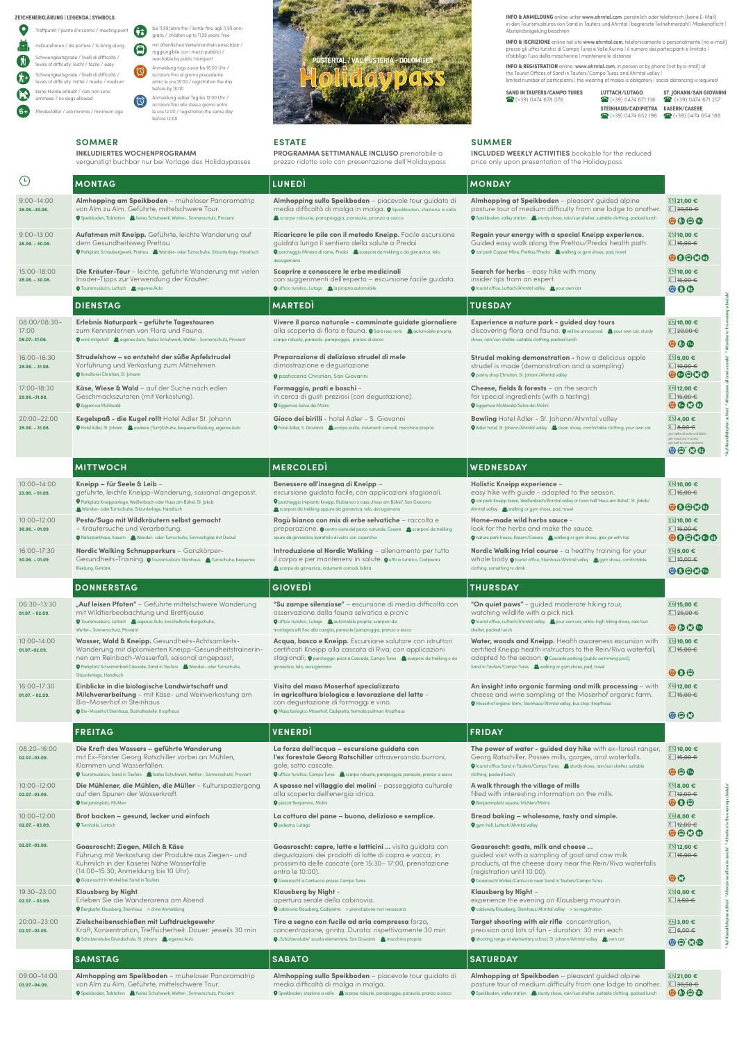



**ZEICHENERKLÄRUNG | LEGENDA | SYMBOLS**

**INFO & ANMELDUNG** online unter **www.ahrntal.com**, persönlich oder telefonisch (keine E-Mail)<br>in den Tourismusbüros von Sand in Taufers und Ahrntal | begrenzte Teilnehmerzahl | Maskenpflicht | Abstandsregelung beachten

|            | Treffpunkt / punto d'incontro / meeting poir                                                   |
|------------|------------------------------------------------------------------------------------------------|
| ᠤ          | mitzunehmen / da portare / to bring along                                                      |
| ₩          | Schwierigkeitsgrade / livelli di difficoltà /<br>levels of difficulty: leicht / facile / easy  |
| $N_{\pm}$  | Schwierigkeitsgrade / livelli di difficoltà /<br>levels of difficulty: mittel / medio / medium |
| <b>139</b> | keine Hunde erlaubt / cani non sono<br>ammessi / no dogs allowed                               |
|            | Mindestalter / età minima / minimum age                                                        |

**INFO & REGISTRATION** online: www.ahrntal.com, in person or by phone (not by e-mail) at<br>the Tourist Offices of Sand in Taufers/Campo Tures and Ahrntal valley | limited number of participants | the wearing of masks is obligatory | social distancing is required

**SAND IN TAUFERS/CAMPO TURES LUTTACH/LUTAGO ST. JOHANN/SAN GIOVANNI**<br>  $\bullet$  (+39) 0474 673 076 **C** (+39) 0474 671 136 C (+39) 0474 671 257

**INFO & ISCRIZIONE** online nel sito www.ahrntal.com, telefonicamente o personalmente (no e-mail) presso gli uffici turistici di Campo Tures e Valle Aurina | il numero dei partecipanti è limitato | d'obbligo l'uso della mascherina | mantenere le distanze

> (+39) 0474 678 076 (+39) 0474 671 136(+39) 0474 671 257  **STEINHAUS/CADIPIETRA KASERN/CASERE** (+39) 0474 652 198 (+39) 0474 654 188

**SOMMER**

meeting point

**INKLUDIERTES WOCHENPROGRAMM**

vergünstigt buchbar nur bei Vorlage des Holidaypasses

## **ESTATE**

**PROGRAMMA SETTIMANALE INCLUSO** prenotabile a prezzo ridotto solo con presentazione dell'Holidaypass **SUMMER**

**INCLUDED WEEKLY ACTIVITIES** bookable for the reduced

price only upon presentation of the Holidaypass

Georg Ratschiller. Passes mills, gorges, and waterfalls.  $\bullet$  tourist office Sand in Taufers/Campo Tures in sturdy shoes, rain/sun shelter, suitable

 $\odot$   $\odot$   $\odot$ **8,00 €**

| $\bigodot$                             | <b>MONTAG</b>                                                                                                                                                                                                                                                          | <b>LUNEDI</b>                                                                                                                                                                                                                                         | <b>MONDAY</b>                                                                                                                                                                                                                                                                             |                                                                                                                            |
|----------------------------------------|------------------------------------------------------------------------------------------------------------------------------------------------------------------------------------------------------------------------------------------------------------------------|-------------------------------------------------------------------------------------------------------------------------------------------------------------------------------------------------------------------------------------------------------|-------------------------------------------------------------------------------------------------------------------------------------------------------------------------------------------------------------------------------------------------------------------------------------------|----------------------------------------------------------------------------------------------------------------------------|
| $9:00 - 14:00$<br>28.06.-30.08.        | Almhopping am Speikboden - müheloser Panoramatrip<br>von Alm zu Alm. Geführte, mittelschwere Tour.<br>Speikboden, Talstation and Festes Schuhwerk, Wetter-, Sonnenschutz, Proviant                                                                                     | Almhopping sullo Speikboden - piacevole tour guidato di<br>media difficoltà di malga in malga. O Speikboden, stazione a valle<br>scarpe robuste, parapioggia, parasole, pranzo a sacco                                                                | Almhopping at Speikboden - pleasant quided alpine<br>pasture tour of medium difficulty from one lodge to another.<br>Speikboden, valley station and sturdy shoes, rain/sun shelter, suitable clothing, packed lunch                                                                       | $2 \times 21,00$ €<br>$\Sigma$ 30,50 $\in$<br>$\odot \odot \odot$                                                          |
| $9:00 - 13:00$<br>28.06. - 30.08.      | Aufatmen mit Kneipp. Geführte, leichte Wanderung auf<br>dem Gesundheitsweg Prettau<br>Parkplatz Schaubergwerk, Prettau & Wander- oder Turnschuhe, Sitzunterlage, Handtuch                                                                                              | Ricaricare le pile con il metodo Kneipp. Facile escursione<br>guidata lungo il sentiero della salute a Predoi<br>O parcheggio Miniera di rame, Predoi in scarponi da trekking o da ginnastica, telo,<br>asciugamano                                   | Regain your energy with a special Kneipp experience.<br>Guided easy walk along the Prettau/Predoi health path.<br>◆ car park Copper Mine, Prettau/Predoi ▲ walking or gym shoes, pad, towel                                                                                               | ⊠ 10,00 €<br>$\Sigma$ 15,00 $\in$<br>00000                                                                                 |
| 15:00-18:00<br>28.06. - 30.08.         | Die Kräuter-Tour - leichte, geführte Wanderung mit vielen<br>Insider-Tipps zur Verwendung der Kräuter.<br><b>O</b> Tourismusbüro, Luttach <b>&amp;</b> eigenes Auto                                                                                                    | Scoprire e conoscere le erbe medicinali<br>con suggerimenti dell'esperto - escursione facile guidata.<br>O ufficio turistico, Lutago is la propria automobile                                                                                         | Search for herbs - easy hike with many<br>insider tips from an expert.<br><b>V</b> tourist office, Luttach/Ahrntal valley and your own car                                                                                                                                                | ⊠ 10,00 €<br>$\Sigma$ 15,00 $\in$<br>$\odot$ $\odot$ $\odot$                                                               |
|                                        | <b>DIENSTAG</b>                                                                                                                                                                                                                                                        | <b>MARTED</b>                                                                                                                                                                                                                                         | <b>TUESDAY</b>                                                                                                                                                                                                                                                                            |                                                                                                                            |
| 08:00/08:30-<br>17:00<br>06.07.-31.08. | Erlebnis Naturpark - geführte Tagestouren<br>zum Kennenlernen von Flora und Fauna.<br>O wird mitgeteilt is eigenes Auto, festes Schuhwerk, Wetter-, Sonnenschutz, Proviant                                                                                             | Vivere il parco naturale - camminate guidate giornaliere<br>alla scoperta di flora e fauna. O Sarà reso noto in automobile propria,<br>scarpe robuste, parasole- parapioggia, pranzo al sacco                                                         | Experience a nature park - guided day tours<br>discovering flora and fauna. $\bullet$ will be announced avour own car, sturdy<br>shoes, rain/sun shelter, suitable clothing, packed lunch                                                                                                 | ⊠ 10,00 €<br>$\Sigma$ 20,00 $\in$<br>$\odot\odot\odot$                                                                     |
| 16:00-16:30<br>29.06. - 31.08.         | Strudelshow - so entsteht der süße Apfelstrudel<br>Vorführung und Verkostung zum Mitnehmen<br><b>Q</b> Konditorei Christian, St. Johann                                                                                                                                | Preparazione di delizioso strudel di mele<br>dimostrazione e degustazione<br><b>O</b> pasticceria Christian, San Giovanni                                                                                                                             | Strudel making demonstration - how a delicious apple<br>strudel is made (demonstration and a sampling)<br>P pastry shop Christian, St. Johann/Ahrntal valley                                                                                                                              | $22$ 5,00 €<br>$\Sigma$ 10,00 $\in$<br>00000                                                                               |
| 17:00-18:30<br>29.06.-31.08.           | Käse, Wiese & Wald - auf der Suche nach edlen<br>Geschmackszutaten (mit Verkostung).<br><b>Q</b> Eggemoa Mühlwald                                                                                                                                                      | Formaggio, prati e boschi -<br>in cerca di qusti preziosi (con dequstazione).<br><b>Q</b> Eggemoa Selva dei Molini                                                                                                                                    | <b>Cheese, fields &amp; forests</b> – on the search<br>for special ingredients (with a tasting).<br><b>O</b> Eggemoa Mühlwald/Selva dei Molini                                                                                                                                            | $2 \times 12,00$ €<br>$\Sigma$ 15,00 $\in$<br>$\odot\odot\odot$                                                            |
| 20:00-22:00<br>29.06. - 31.08.         | Kegelspaß - die Kugel rollt Hotel Adler St. Johann<br>O Hotel Adler, St. Johann & saubere (Turn)Schuhe, bequeme Kleidung, eigenes Auto                                                                                                                                 | Gioco dei birilli - hotel Adler - S. Giovanni<br>O hotel Adler, S. Giovanni is scarpe pulite, indumenti comodi, macchina propria                                                                                                                      | <b>Bowling</b> Hotel Adler - St. Johann/Ahrntal valley<br>O Adler hotel, St. Johann/Ahrntal valley 3, clean shoes, comfortable clothing, your own car                                                                                                                                     | ∑≋ 4,00 €<br>$\sum$ 8,00 $\in$<br>pro halbe Stunde und Bahn<br>per mezz'ora e corsia<br>ber half an hour and lane<br>00'QQ |
|                                        | <b>MITTWOCH</b>                                                                                                                                                                                                                                                        | <b>MERCOLEDI</b>                                                                                                                                                                                                                                      | WEDNESDAY                                                                                                                                                                                                                                                                                 |                                                                                                                            |
| 10:00-14:00<br>23.06. - 01.09.         | Kneipp – für Seele & Leib –<br>geführte, leichte Kneipp-Wanderung, saisonal angepasst.<br>P Parkplatz Kneippanlage, Weißenbach oder Haus am Bühel, St. Jakob<br>Wander- oder Turnschuhe, Sitzunterlage, Handtuch                                                       | Benessere all'insegna di Kneipp -<br>escursione guidata facile, con applicazioni stagionali.<br>P parcheggio impianto Kneipp, Riobianco o casa "Haus am Bühel", San Giacomo<br>scarponi da trekking oppure da ginnastica, telo, asciugamano           | Holistic Kneipp experience –<br>easy hike with guide - adapted to the season.<br>O car park Kneipp basin, Weißenbach/Ahrntal valley or town hall"Haus am Bühel", St. Jakob/<br>Ahrntal valley is, walking or gym shoes, pad, towel                                                        | $22$ 10,00 €<br>$\Sigma$ 15,00 $\in$<br>00000                                                                              |
| $10:00 - 12:00$<br>$30.06. - 01.09$    | Pesto/Sugo mit Wildkräutern selbst gemacht<br>- Kräutersuche und Verarbeitung.<br>Naturparkhaus, Kasern is Wander- oder Turnschuhe, Einmachglas mit Deckel                                                                                                             | Ragù bianco con mix di erbe selvatiche - raccolta e<br>preparazione. O centro visite del parco naturale, Casere in scarponi da trekking<br>opure da ginnastica, barattolo di vetro con coperchio                                                      | Home-made wild herbs sauce -<br>look for the herbs and make the sauce.<br>nature park house, Kasern/Casere is, walking or gym shoes, glas jar with top                                                                                                                                    | $22$ 10,00 €<br>$\Sigma$ 15,00 $\in$<br>000000                                                                             |
| 16:00-17:30<br>$30.06. - 01.09$        | Nordic Walking Schnupperkurs - Ganzkörper-<br>Gesundheits-Training. O Tourismusbüro Steinhaus 3. Turnschuhe, bequeme<br>Kleidung, Getränk                                                                                                                              | Introduzione al Nordic Walking - allenamento per tutto<br>il corpo e per mantenersi in salute. $\bullet$ ufficio turistico, Cadipietra<br>scarpe da ginnastica, indumenti comodi, bibita                                                              | Nordic Walking trial course - a healthy training for your<br>whole body $\bullet$ tourist office, Steinhaus/Ahrntal valley in gym shoes, comfortable<br>clothing, something to drink                                                                                                      | $225,00 \in$<br>$\sum$ 10,00 $\in$<br>00000                                                                                |
|                                        | <b>DONNERSTAG</b>                                                                                                                                                                                                                                                      | <b>GIOVEDI</b>                                                                                                                                                                                                                                        | <b>THURSDAY</b>                                                                                                                                                                                                                                                                           |                                                                                                                            |
| 06:30-13:30<br>$01.07. - 02.09.$       | "Auf leisen Pfoten" - Geführte mittelschwere Wanderung<br>mit Wildtierbeobachtung und Brettljause<br>O Tourismusbüro, Luttach die eigenes Auto, knöchelhohe Bergschuhe,<br>Wetter-, Sonnenschutz, Proviant                                                             | "Su zampe silenziose" - escursione di media difficoltà con<br>osservazione della fauna selvatica e picnic<br>O ufficio turistico, Lutago in automobile propria, scarponi da<br>montagna alti fino alla caviglia, parasole/parapioggia, pranzo a sacco | "On quiet paws" - quided moderate hiking tour,<br>watching wildlife with a pick nick<br>your own car, ankle-high hiking shoes, rain/sun (\$1,000) with the valley the your own car, ankle-high hiking shoes, rain/sun<br>shelter, packed lunch                                            | ⊠ 15,00 €<br>$\sum$ 25,00 $\in$<br>$\circ\hspace{-0.75mm}\circ\hspace{-0.75mm}\circ\hspace{-0.75mm}\circ$                  |
| 10:00-14:00<br>01.07.-02.09.           | Wasser, Wald & Kneipp. Gesundheits-Achtsamkeits-<br>Wanderung mit diplomierten Kneipp-Gesundheitstrainerin-<br>nen am Reinbach-Wasserfall, saisonal angepasst;<br>Parkplatz Schwimmbad Cascade, Sand in Taufers 2. Wander- oder Turnschuhe,<br>Sitzunterlage, Handtuch | Acqua, bosco e Kneipp. Escursione salutare con istruttori<br>certificati Kneipp alla cascata di Riva; con applicazioni<br>stagionali; O parcheggio piscina Cascade, Campo Tures a scarponi da trekking o da<br>ginnastica, telo, asciugamano          | Water, woods and Kneipp. Health awareness excursion with<br>certified Kneipp health instructors to the Rein/Riva waterfall,<br>$\alpha$ dapted to the season. $\bullet$ Cascade parking (public swimming pool),<br>Sand in Taufers/Campo Tures <b>is</b> walking or gym shoes, pad, towel | ે 10,00 €<br>$\sum$ 15,00 €<br>$\odot \odot \odot$                                                                         |
| 16:00-17:30<br>$01.07. - 02.09.$       | Einblicke in die biologische Landwirtschaft und<br>Milchverarbeitung - mit Käse- und Weinverkostung am<br><b>Bio-Moserhof in Steinhaus</b><br><b>Q</b> Bio-Moserhof Steinhaus, Bushaltestelle: Kropfhaus                                                               | Visita del maso Moserhof specializzato<br>in agricoltura biologica e lavorazione del latte -<br>con degustazione di formaggi e vino.<br><b>O</b> Maso biologico Moserhof, Cadipietra, fermata pullman: Kropfhaus                                      | An insight into organic farming and milk processing - with<br>cheese and wine sampling at the Moserhof organic farm.<br><b>O</b> Moserhof organic farm, Steinhaus/Ahrntal valley, bus stop: Kropfhaus                                                                                     | ∑≋ 12,00 €<br>$\Sigma$ 15,00 $\in$<br>$\odot$ $\odot$                                                                      |
|                                        | <b>FREITAG</b>                                                                                                                                                                                                                                                         | <b>VENERDI</b>                                                                                                                                                                                                                                        | <b>FRIDAY</b>                                                                                                                                                                                                                                                                             |                                                                                                                            |
| 08:20-16:00                            | Die Kraft des Wassers - geführte Wanderung                                                                                                                                                                                                                             | La forza dell'acqua - escursione guidata con                                                                                                                                                                                                          | The power of water - guided day hike with ex-forest ranger, $22$ 10,00 $\epsilon$                                                                                                                                                                                                         |                                                                                                                            |

**Die Mühlener, die Mühlen, die Müller - Kult el villaggio dei molini** – passeggiata cultu

**02.07.-03.09.**

mit Ex-Förster Georg Ratschiller vorbei an Mühlen,

Klammen und Wasserfällen.

Tourismusbüro, Sand in Taufers festes Schuhwerk, Wetter-, Sonnenschutz, Proviant

**l'ex forestale Georg Ratschiller** attraversando burroni,

O ufficio turistico, Campo Tures is scarpe robuste, parapioggia, parasole, pranzo a sacco

gole, sotto cascate.

clothing, packed lunch

15,00 €

| $10:00 - 12:00$<br>02.07.-03.09.    | Die Mühlener, die Mühlen, die Müller – Kulturspaziergang<br>auf den Spuren der Wasserkraft.<br><b>O</b> Benjaminplatz, Mühlen                                                                                                    | A spasso nel villaggio dei molini – passeggiata culturale<br>alla scoperta dell'energia idrica.<br><b>O</b> piazza Benjamino, Molini                                                                                                                     | A walk through the village of mills<br>filled with interesting information on the mills.<br><b>O</b> Benjaminplatz square, Mühlen/Molini                                                                                                                       | ∑≋ 8,00 €<br>$\Sigma$ 12,00 $\in$<br>$\odot \odot \odot$         |
|-------------------------------------|----------------------------------------------------------------------------------------------------------------------------------------------------------------------------------------------------------------------------------|----------------------------------------------------------------------------------------------------------------------------------------------------------------------------------------------------------------------------------------------------------|----------------------------------------------------------------------------------------------------------------------------------------------------------------------------------------------------------------------------------------------------------------|------------------------------------------------------------------|
| $10:00 - 12:00$<br>$02.07 - 03.09.$ | Brot backen - gesund, lecker und einfach<br><b>O</b> Turnhalle, Luttach                                                                                                                                                          | La cottura del pane - buono, delizioso e semplice.<br><b>O</b> palestra, Lutago                                                                                                                                                                          | Bread baking - wholesome, tasty and simple.<br><b>Q</b> gym hall, Luttach/Ahrntal valley                                                                                                                                                                       | ⊠ 8,00 €<br>$\Sigma$ 12,00 $\in$<br>$\odot$ $\odot$ $\odot$      |
| 02.07.-03.09.                       | Goasroscht: Ziegen, Milch & Käse<br>Führung mit Verkostung der Produkte aus Ziegen- und<br>Kuhmilch in der Käserei Nähe Wasserfälle<br>(14:00-15:30; Anmeldung bis 10 Uhr).<br><b>O</b> Goasroscht in Winkel bei Sand in Taufers | Goasroscht: capre, latte e latticini  visita quidata con<br>degustazioni dei prodotti di latte di capra e vacca; in<br>prossimità delle cascate (ore 15:30-17:00, prenotazione<br>entro le 10:00).<br><b>Q</b> Goasroscht a Cantuccio presso Campo Tures | Goasroscht: goats, milk and cheese<br>quided visit with a sampling of goat and cow milk<br>products, at the cheese dairy near the Rein/Riva waterfalls<br>(registration until 10:00).<br><b>O</b> Goasroscht Winkel/Cantuccio near Sand in Taufers/Campo Tures | ⊠ 12,00 €<br>∑ 15,00 €<br>$\circledcirc$                         |
| 19:30-23:00<br>$02.07 - 03.09.$     | Klausberg by Night<br>Erleben Sie die Wanderarena am Abend<br><b>Q</b> Bergbahn Klausberg, Steinhaus > ohne Anmeldung                                                                                                            | Klausberg by Night -<br>apertura serale della cabinovia.<br>O cabinovia Klausberg, Cadipietra > prenotazione non necessaria                                                                                                                              | Klausberg by Night -<br>experience the evening on Klausberg mountain.<br><b>Q</b> cableway Klausberg, Steinhaus/Ahrntal valley > no registration                                                                                                               | ⊠ 0,00 €<br>$\Box$ 3,50 $\in$                                    |
| 20:00-23:00<br>02.07.-03.09.        | Zielscheibenschießen mit Luftdruckgewehr<br>Kraft, Konzentration, Treffsicherheit. Dauer: jeweils 30 min<br>O Schützenstube Grundschule, St. Johann ( eigenes Auto                                                               | Tiro a segno con fucile ad aria compressa forza,<br>concentrazione, grinta. Durata: rispettivamente 30 min<br>◆ "Schützenstube" scuola elementare, San Giovanni · △ macchina propria                                                                     | Target shooting with air rifle concentration,<br>precision and lots of fun - duration: 30 min each<br>O shooting range at elementary school, St. Johann/Ahrntal valley and own car                                                                             | $223,00$ €<br>$\Box$ 6,00 $\in$<br>$O O^*$                       |
|                                     | <b>SAMSTAG</b>                                                                                                                                                                                                                   | <b>SABATO</b>                                                                                                                                                                                                                                            | <b>SATURDAY</b>                                                                                                                                                                                                                                                |                                                                  |
| 09:00-14:00<br>03.07.-04.09.        | Almhopping am Speikboden - müheloser Panoramatrip<br>von Alm zu Alm. Geführte, mittelschwere Tour.<br>O Speikboden, Talstation and festes Schuhwerk, Wetter-, Sonnenschutz, Proviant                                             | Almhopping sullo Speikboden - piacevole tour quidato di<br>media difficoltà di malga in malga.<br>Speikboden, stazione a valle in scarpe robuste, parapioggia, parasole, pranzo a sacco                                                                  | Almhopping at Speikboden - pleasant quided alpine<br>pasture tour of medium difficulty from one lodge to another.<br>Speikboden, valley station and sturdy shoes, rain/sun shelter, suitable clothing, packed lunch                                            | $2\%$ 21,00 €<br>$\Box$ 30,50 $\in$<br>$\odot \odot \odot \odot$ |

\* Auf Abendfahrplan achten! \* Attenzione all'orario serale! \* Attention to the evening schedule! \* Auf Abendfahrplan achten! \* Attenzione all'orario serale! \* Attention to the evening schedule!

ierale!

\* Auf Abendfahrplan achten! \* Attenzione all'o

dule!

Attention to the ever

serale!

\* Auf Abendfahrplan achten! \* Attenzione all'orario